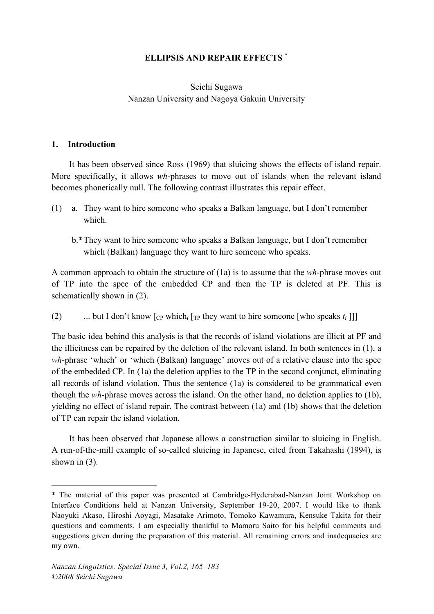## **ELLIPSIS AND REPAIR EFFECTS \***

### Seichi Sugawa Nanzan University and Nagoya Gakuin University

#### **1. Introduction**

<u>.</u>

It has been observed since Ross (1969) that sluicing shows the effects of island repair. More specifically, it allows *wh*-phrases to move out of islands when the relevant island becomes phonetically null. The following contrast illustrates this repair effect.

- (1) a. They want to hire someone who speaks a Balkan language, but I don't remember which.
	- b.\*They want to hire someone who speaks a Balkan language, but I don't remember which (Balkan) language they want to hire someone who speaks.

A common approach to obtain the structure of (1a) is to assume that the *wh*-phrase moves out of TP into the spec of the embedded CP and then the TP is deleted at PF. This is schematically shown in (2).

(2) ... but I don't know  $\lceil_{CP}$  which<sub>*i*</sub>  $\lceil_{TP}$  they want to hire someone [who speaks *t<sub>i</sub>* ]]

The basic idea behind this analysis is that the records of island violations are illicit at PF and the illicitness can be repaired by the deletion of the relevant island. In both sentences in (1), a *wh*-phrase 'which' or 'which (Balkan) language' moves out of a relative clause into the spec of the embedded CP. In (1a) the deletion applies to the TP in the second conjunct, eliminating all records of island violation. Thus the sentence (1a) is considered to be grammatical even though the *wh*-phrase moves across the island. On the other hand, no deletion applies to (1b), yielding no effect of island repair. The contrast between (1a) and (1b) shows that the deletion of TP can repair the island violation.

It has been observed that Japanese allows a construction similar to sluicing in English. A run-of-the-mill example of so-called sluicing in Japanese, cited from Takahashi (1994), is shown in  $(3)$ .

<sup>\*</sup> The material of this paper was presented at Cambridge-Hyderabad-Nanzan Joint Workshop on Interface Conditions held at Nanzan University, September 19-20, 2007. I would like to thank Naoyuki Akaso, Hiroshi Aoyagi, Masatake Arimoto, Tomoko Kawamura, Kensuke Takita for their questions and comments. I am especially thankful to Mamoru Saito for his helpful comments and suggestions given during the preparation of this material. All remaining errors and inadequacies are my own.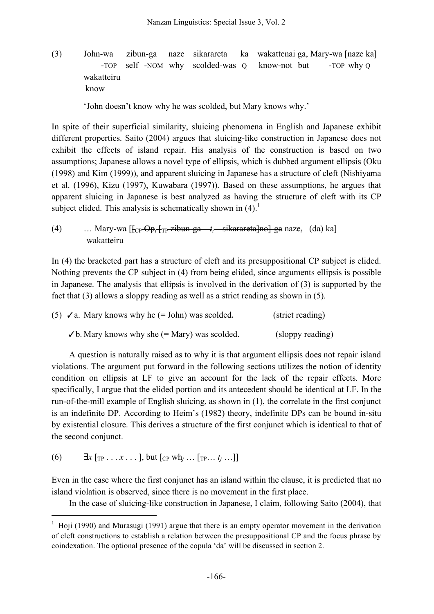(3) John-wa zibun-ga naze sikarareta ka wakattenai ga, Mary-wa [naze ka] -TOP self -NOM why scolded-was Q know-not but -TOP why Q wakatteiru know

'John doesn't know why he was scolded, but Mary knows why.'

In spite of their superficial similarity, sluicing phenomena in English and Japanese exhibit different properties. Saito (2004) argues that sluicing-like construction in Japanese does not exhibit the effects of island repair. His analysis of the construction is based on two assumptions; Japanese allows a novel type of ellipsis, which is dubbed argument ellipsis (Oku (1998) and Kim (1999)), and apparent sluicing in Japanese has a structure of cleft (Nishiyama et al. (1996), Kizu (1997), Kuwabara (1997)). Based on these assumptions, he argues that apparent sluicing in Japanese is best analyzed as having the structure of cleft with its CP subject elided. This analysis is schematically shown in  $(4)$ .

(4) … Mary-wa  $\left[\frac{1}{C_P \Theta_p} \frac{1}{T_P \Sigma} \frac{1}{Z} \frac{1}{T_P \Sigma} + \frac{1}{Z} \frac{1}{Z} \frac{1}{Z} \frac{1}{Z} \frac{1}{Z} \frac{1}{Z} \frac{1}{Z} \frac{1}{Z} \frac{1}{Z} \frac{1}{Z} \frac{1}{Z} \frac{1}{Z} \frac{1}{Z} \frac{1}{Z} \frac{1}{Z} \frac{1}{Z} \frac{1}{Z} \frac{1}{Z} \frac{1}{Z} \frac{1}{Z} \frac{1}{Z} \frac{1}{Z} \frac{1}{Z} \frac{1$ wakatteiru

In (4) the bracketed part has a structure of cleft and its presuppositional CP subject is elided. Nothing prevents the CP subject in (4) from being elided, since arguments ellipsis is possible in Japanese. The analysis that ellipsis is involved in the derivation of (3) is supported by the fact that (3) allows a sloppy reading as well as a strict reading as shown in (5).

| (5) $\checkmark$ a. Mary knows why he (= John) was scolded. | (strict reading) |
|-------------------------------------------------------------|------------------|
| $\checkmark$ b. Mary knows why she (= Mary) was scolded.    | (sloppy reading) |

A question is naturally raised as to why it is that argument ellipsis does not repair island violations. The argument put forward in the following sections utilizes the notion of identity condition on ellipsis at LF to give an account for the lack of the repair effects. More specifically, I argue that the elided portion and its antecedent should be identical at LF. In the run-of-the-mill example of English sluicing, as shown in (1), the correlate in the first conjunct is an indefinite DP. According to Heim's (1982) theory, indefinite DPs can be bound in-situ by existential closure. This derives a structure of the first conjunct which is identical to that of the second conjunct.

(6)  $\exists x [\text{TP} \dots x \dots], \text{but } [\text{CP wh}_j \dots [\text{TP} \dots t_j \dots]]$ 

Even in the case where the first conjunct has an island within the clause, it is predicted that no island violation is observed, since there is no movement in the first place.

In the case of sluicing-like construction in Japanese, I claim, following Saito (2004), that

 $1$  Hoji (1990) and Murasugi (1991) argue that there is an empty operator movement in the derivation of cleft constructions to establish a relation between the presuppositional CP and the focus phrase by coindexation. The optional presence of the copula 'da' will be discussed in section 2.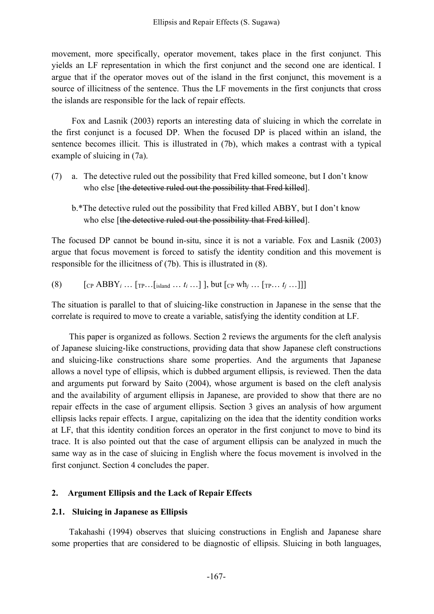movement, more specifically, operator movement, takes place in the first conjunct. This yields an LF representation in which the first conjunct and the second one are identical. I argue that if the operator moves out of the island in the first conjunct, this movement is a source of illicitness of the sentence. Thus the LF movements in the first conjuncts that cross the islands are responsible for the lack of repair effects.

Fox and Lasnik (2003) reports an interesting data of sluicing in which the correlate in the first conjunct is a focused DP. When the focused DP is placed within an island, the sentence becomes illicit. This is illustrated in (7b), which makes a contrast with a typical example of sluicing in (7a).

- (7) a. The detective ruled out the possibility that Fred killed someone, but I don't know who else [the detective ruled out the possibility that Fred killed].
	- b.\*The detective ruled out the possibility that Fred killed ABBY, but I don't know who else [the detective ruled out the possibility that Fred killed].

The focused DP cannot be bound in-situ, since it is not a variable. Fox and Lasnik (2003) argue that focus movement is forced to satisfy the identity condition and this movement is responsible for the illicitness of (7b). This is illustrated in (8).

(8) 
$$
[CP ABBYi ... [TP...[island ... ti...]], but [CP whj ... [TP... tj...]]]
$$

The situation is parallel to that of sluicing-like construction in Japanese in the sense that the correlate is required to move to create a variable, satisfying the identity condition at LF.

This paper is organized as follows. Section 2 reviews the arguments for the cleft analysis of Japanese sluicing-like constructions, providing data that show Japanese cleft constructions and sluicing-like constructions share some properties. And the arguments that Japanese allows a novel type of ellipsis, which is dubbed argument ellipsis, is reviewed. Then the data and arguments put forward by Saito (2004), whose argument is based on the cleft analysis and the availability of argument ellipsis in Japanese, are provided to show that there are no repair effects in the case of argument ellipsis. Section 3 gives an analysis of how argument ellipsis lacks repair effects. I argue, capitalizing on the idea that the identity condition works at LF, that this identity condition forces an operator in the first conjunct to move to bind its trace. It is also pointed out that the case of argument ellipsis can be analyzed in much the same way as in the case of sluicing in English where the focus movement is involved in the first conjunct. Section 4 concludes the paper.

#### **2. Argument Ellipsis and the Lack of Repair Effects**

#### **2.1. Sluicing in Japanese as Ellipsis**

Takahashi (1994) observes that sluicing constructions in English and Japanese share some properties that are considered to be diagnostic of ellipsis. Sluicing in both languages,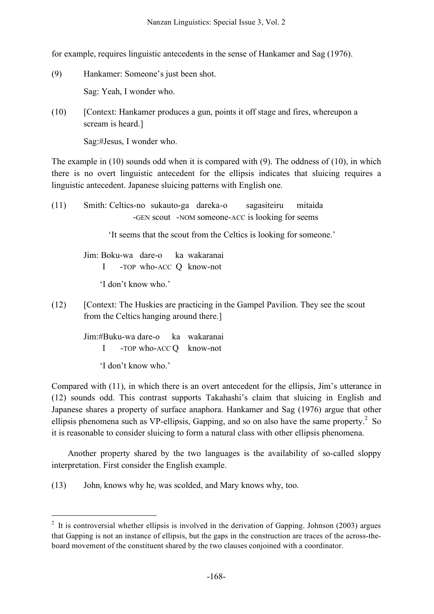for example, requires linguistic antecedents in the sense of Hankamer and Sag (1976).

- (9) Hankamer: Someone's just been shot. Sag: Yeah, I wonder who.
- (10) [Context: Hankamer produces a gun, points it off stage and fires, whereupon a scream is heard.]

Sag:#Jesus, I wonder who.

The example in (10) sounds odd when it is compared with (9). The oddness of (10), in which there is no overt linguistic antecedent for the ellipsis indicates that sluicing requires a linguistic antecedent. Japanese sluicing patterns with English one.

(11) Smith: Celtics-no sukauto-ga dareka-o sagasiteiru mitaida -GEN scout -NOM someone-ACC is looking for seems

'It seems that the scout from the Celtics is looking for someone.'

Jim: Boku-wa dare-o ka wakaranai I -TOP who-ACC Q know-not

'I don't know who.'

(12) [Context: The Huskies are practicing in the Gampel Pavilion. They see the scout from the Celtics hanging around there.]

> Jim:#Buku-wa dare-o ka wakaranai I -TOP who-ACC Q know-not

> > 'I don't know who.'

Compared with (11), in which there is an overt antecedent for the ellipsis, Jim's utterance in (12) sounds odd. This contrast supports Takahashi's claim that sluicing in English and Japanese shares a property of surface anaphora. Hankamer and Sag (1976) argue that other ellipsis phenomena such as VP-ellipsis, Gapping, and so on also have the same property. $^{2}$  So it is reasonable to consider sluicing to form a natural class with other ellipsis phenomena.

Another property shared by the two languages is the availability of so-called sloppy interpretation. First consider the English example.

(13) John*<sup>i</sup>* knows why he*<sup>i</sup>* was scolded, and Mary knows why, too.

 $2$  It is controversial whether ellipsis is involved in the derivation of Gapping. Johnson (2003) argues that Gapping is not an instance of ellipsis, but the gaps in the construction are traces of the across-theboard movement of the constituent shared by the two clauses conjoined with a coordinator.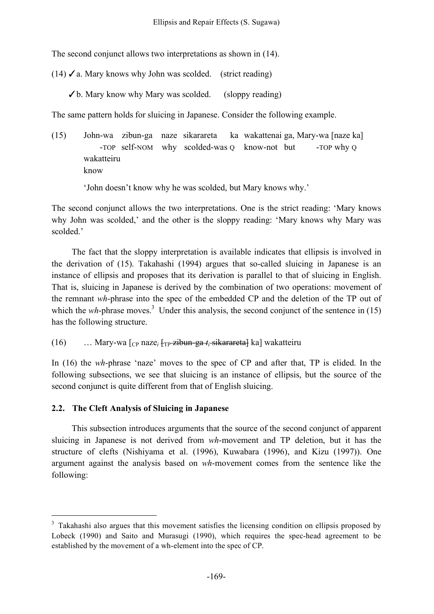The second conjunct allows two interpretations as shown in (14).

(14)  $\checkmark$  a. Mary knows why John was scolded. (strict reading)

✓b. Mary know why Mary was scolded. (sloppy reading)

The same pattern holds for sluicing in Japanese. Consider the following example.

(15) John-wa zibun-ga naze sikarareta ka wakattenai ga, Mary-wa [naze ka] -TOP self-NOM why scolded-was Q know-not but -TOP why Q wakatteiru know

'John doesn't know why he was scolded, but Mary knows why.'

The second conjunct allows the two interpretations. One is the strict reading: 'Mary knows why John was scolded,' and the other is the sloppy reading: 'Mary knows why Mary was scolded<sup>2</sup>

The fact that the sloppy interpretation is available indicates that ellipsis is involved in the derivation of (15). Takahashi (1994) argues that so-called sluicing in Japanese is an instance of ellipsis and proposes that its derivation is parallel to that of sluicing in English. That is, sluicing in Japanese is derived by the combination of two operations: movement of the remnant *wh*-phrase into the spec of the embedded CP and the deletion of the TP out of which the *wh*-phrase moves.<sup>3</sup> Under this analysis, the second conjunct of the sentence in (15) has the following structure.

(16) … Mary-wa [CP naze*<sup>i</sup>* [TP zibun-ga *ti* sikarareta] ka] wakatteiru

In (16) the *wh*-phrase 'naze' moves to the spec of CP and after that, TP is elided. In the following subsections, we see that sluicing is an instance of ellipsis, but the source of the second conjunct is quite different from that of English sluicing.

### **2.2. The Cleft Analysis of Sluicing in Japanese**

This subsection introduces arguments that the source of the second conjunct of apparent sluicing in Japanese is not derived from *wh*-movement and TP deletion, but it has the structure of clefts (Nishiyama et al. (1996), Kuwabara (1996), and Kizu (1997)). One argument against the analysis based on *wh*-movement comes from the sentence like the following:

<sup>&</sup>lt;sup>3</sup> Takahashi also argues that this movement satisfies the licensing condition on ellipsis proposed by Lobeck (1990) and Saito and Murasugi (1990), which requires the spec-head agreement to be established by the movement of a wh-element into the spec of CP.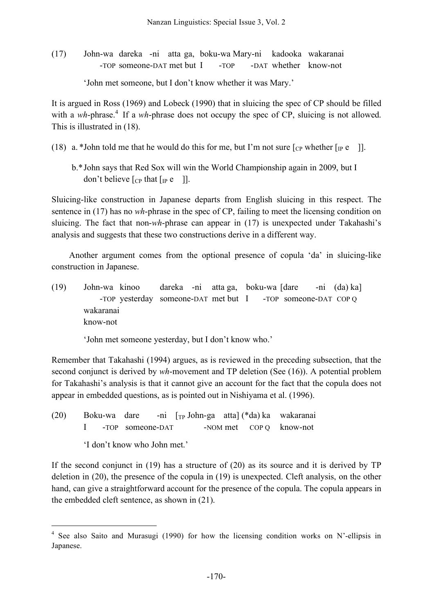(17) John-wa dareka -ni atta ga, boku-wa Mary-ni kadooka wakaranai -TOP someone-DAT met but I -TOP -DAT whether know-not

'John met someone, but I don't know whether it was Mary.'

It is argued in Ross (1969) and Lobeck (1990) that in sluicing the spec of CP should be filled with a wh-phrase.<sup>4</sup> If a wh-phrase does not occupy the spec of CP, sluicing is not allowed. This is illustrated in (18).

- (18) a. \*John told me that he would do this for me, but I'm not sure  $\lceil_{CP}$  whether  $\lceil_{IP} e \rceil$ .
	- b.\*John says that Red Sox will win the World Championship again in 2009, but I don't believe  $[CP$  that  $[IP]$  e  $[]$ .

Sluicing-like construction in Japanese departs from English sluicing in this respect. The sentence in (17) has no *wh*-phrase in the spec of CP, failing to meet the licensing condition on sluicing. The fact that non-*wh*-phrase can appear in (17) is unexpected under Takahashi's analysis and suggests that these two constructions derive in a different way.

Another argument comes from the optional presence of copula 'da' in sluicing-like construction in Japanese.

(19) John-wa kinoo dareka -ni atta ga, boku-wa [dare -ni (da) ka] -TOP yesterday someone-DAT met but I -TOP someone-DAT COP Q wakaranai know-not

'John met someone yesterday, but I don't know who.'

Remember that Takahashi (1994) argues, as is reviewed in the preceding subsection, that the second conjunct is derived by *wh*-movement and TP deletion (See (16)). A potential problem for Takahashi's analysis is that it cannot give an account for the fact that the copula does not appear in embedded questions, as is pointed out in Nishiyama et al. (1996).

(20) Boku-wa dare -ni [TP John-ga atta] (\*da) ka wakaranai I -TOP someone-DAT -NOM met COP Q know-not 'I don't know who John met.'

If the second conjunct in (19) has a structure of (20) as its source and it is derived by TP deletion in (20), the presence of the copula in (19) is unexpected. Cleft analysis, on the other hand, can give a straightforward account for the presence of the copula. The copula appears in the embedded cleft sentence, as shown in (21).

 <sup>4</sup> See also Saito and Murasugi (1990) for how the licensing condition works on N'-ellipsis in Japanese.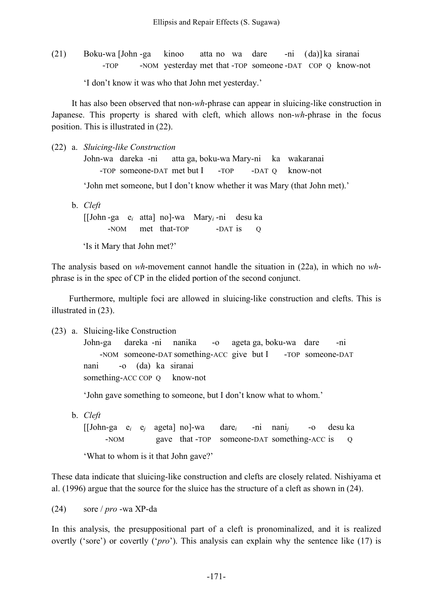(21) Boku-wa [John -ga kinoo atta no wa dare -ni (da)] ka siranai -TOP -NOM yesterday met that -TOP someone -DAT COP Q know-not

'I don't know it was who that John met yesterday.'

It has also been observed that non-*wh*-phrase can appear in sluicing-like construction in Japanese. This property is shared with cleft, which allows non-*wh*-phrase in the focus position. This is illustrated in (22).

(22) a. *Sluicing-like Construction* John-wa dareka -ni atta ga, boku-wa Mary-ni ka wakaranai -TOP someone-DAT met but I -TOP -DAT Q know-not

'John met someone, but I don't know whether it was Mary (that John met).'

- b. *Cleft* [[John -ga e*<sup>i</sup>* atta] no]-wa Mary*<sup>i</sup>* -ni desu ka -NOM met that-TOP -DAT is Q
	- 'Is it Mary that John met?'

The analysis based on *wh*-movement cannot handle the situation in (22a), in which no *wh*phrase is in the spec of CP in the elided portion of the second conjunct.

Furthermore, multiple foci are allowed in sluicing-like construction and clefts. This is illustrated in (23).

(23) a. Sluicing-like Construction

John-ga dareka -ni nanika -o ageta ga, boku-wa dare -ni -NOM someone-DAT something-ACC give but I -TOP someone-DAT nani -o (da) ka siranai something-ACC COP Q know-not

'John gave something to someone, but I don't know what to whom.'

b. *Cleft* [[John-ga e*<sup>i</sup>* e*<sup>j</sup>* ageta] no]-wa dare*<sup>i</sup>* -ni nani*<sup>j</sup>* -o desu ka -NOM gave that -TOP someone-DAT something-ACC is Q

'What to whom is it that John gave?'

These data indicate that sluicing-like construction and clefts are closely related. Nishiyama et al. (1996) argue that the source for the sluice has the structure of a cleft as shown in (24).

(24) sore / *pro* -wa XP-da

In this analysis, the presuppositional part of a cleft is pronominalized, and it is realized overtly ('sore') or covertly ('*pro*'). This analysis can explain why the sentence like (17) is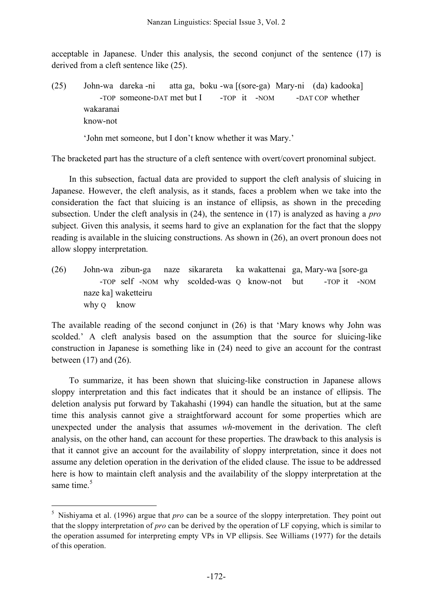acceptable in Japanese. Under this analysis, the second conjunct of the sentence (17) is derived from a cleft sentence like (25).

(25) John-wa dareka -ni atta ga, boku -wa [(sore-ga) Mary-ni (da) kadooka] -TOP someone-DAT met but I -TOP it -NOM -DAT COP whether wakaranai know-not

'John met someone, but I don't know whether it was Mary.'

The bracketed part has the structure of a cleft sentence with overt/covert pronominal subject.

In this subsection, factual data are provided to support the cleft analysis of sluicing in Japanese. However, the cleft analysis, as it stands, faces a problem when we take into the consideration the fact that sluicing is an instance of ellipsis, as shown in the preceding subsection. Under the cleft analysis in (24), the sentence in (17) is analyzed as having a *pro* subject. Given this analysis, it seems hard to give an explanation for the fact that the sloppy reading is available in the sluicing constructions. As shown in (26), an overt pronoun does not allow sloppy interpretation.

(26) John-wa zibun-ga naze sikarareta ka wakattenai ga, Mary-wa [sore-ga -TOP self -NOM why scolded-was Q know-not but -TOP it -NOM naze ka] waketteiru why O know

The available reading of the second conjunct in (26) is that 'Mary knows why John was scolded.' A cleft analysis based on the assumption that the source for sluicing-like construction in Japanese is something like in (24) need to give an account for the contrast between (17) and (26).

To summarize, it has been shown that sluicing-like construction in Japanese allows sloppy interpretation and this fact indicates that it should be an instance of ellipsis. The deletion analysis put forward by Takahashi (1994) can handle the situation, but at the same time this analysis cannot give a straightforward account for some properties which are unexpected under the analysis that assumes *wh*-movement in the derivation. The cleft analysis, on the other hand, can account for these properties. The drawback to this analysis is that it cannot give an account for the availability of sloppy interpretation, since it does not assume any deletion operation in the derivation of the elided clause. The issue to be addressed here is how to maintain cleft analysis and the availability of the sloppy interpretation at the same time.<sup>5</sup>

 <sup>5</sup> Nishiyama et al. (1996) argue that *pro* can be a source of the sloppy interpretation. They point out that the sloppy interpretation of *pro* can be derived by the operation of LF copying, which is similar to the operation assumed for interpreting empty VPs in VP ellipsis. See Williams (1977) for the details of this operation.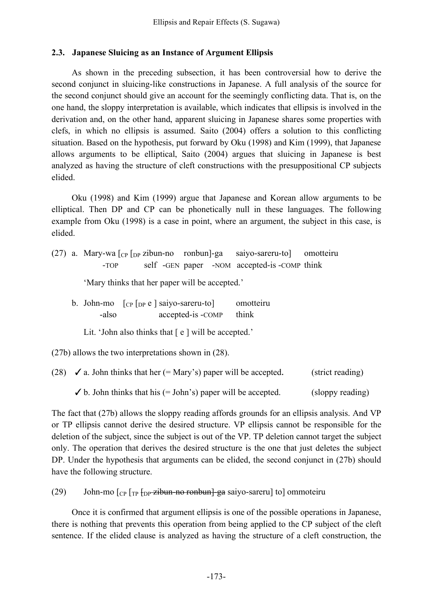#### **2.3. Japanese Sluicing as an Instance of Argument Ellipsis**

As shown in the preceding subsection, it has been controversial how to derive the second conjunct in sluicing-like constructions in Japanese. A full analysis of the source for the second conjunct should give an account for the seemingly conflicting data. That is, on the one hand, the sloppy interpretation is available, which indicates that ellipsis is involved in the derivation and, on the other hand, apparent sluicing in Japanese shares some properties with clefs, in which no ellipsis is assumed. Saito (2004) offers a solution to this conflicting situation. Based on the hypothesis, put forward by Oku (1998) and Kim (1999), that Japanese allows arguments to be elliptical, Saito (2004) argues that sluicing in Japanese is best analyzed as having the structure of cleft constructions with the presuppositional CP subjects elided.

Oku (1998) and Kim (1999) argue that Japanese and Korean allow arguments to be elliptical. Then DP and CP can be phonetically null in these languages. The following example from Oku (1998) is a case in point, where an argument, the subject in this case, is elided.

(27) a. Mary-wa  $\lceil_{CP} \rceil_{DP}$  zibun-no ronbun]-ga saiyo-sareru-to] omotteiru -TOP self -GEN paper -NOM accepted-is -COMP think

'Mary thinks that her paper will be accepted.'

- b. John-mo [CP [DP e ] saiyo-sareru-to] omotteiru -also accepted-is -COMP think
	- Lit. 'John also thinks that  $\lceil e \rceil$  will be accepted.'

(27b) allows the two interpretations shown in (28).

| (28) $\checkmark$ a. John thinks that her (= Mary's) paper will be accepted. | (strict reading) |  |  |
|------------------------------------------------------------------------------|------------------|--|--|
| $\checkmark$ b. John thinks that his (= John's) paper will be accepted.      | (sloppy reading) |  |  |

The fact that (27b) allows the sloppy reading affords grounds for an ellipsis analysis. And VP or TP ellipsis cannot derive the desired structure. VP ellipsis cannot be responsible for the deletion of the subject, since the subject is out of the VP. TP deletion cannot target the subject only. The operation that derives the desired structure is the one that just deletes the subject DP. Under the hypothesis that arguments can be elided, the second conjunct in (27b) should have the following structure.

(29) John-mo  $\lceil_{CP} \rceil_{TP}$   $\frac{1}{7}$   $\frac{1}{7}$   $\frac{1}{7}$   $\frac{1}{7}$   $\frac{1}{7}$   $\frac{1}{7}$   $\frac{1}{7}$   $\frac{1}{7}$   $\frac{1}{7}$   $\frac{1}{7}$   $\frac{1}{7}$   $\frac{1}{7}$   $\frac{1}{7}$   $\frac{1}{7}$   $\frac{1}{7}$   $\frac{1}{7}$   $\frac{1}{7}$   $\frac{1}{7}$   $\frac{1}{7}$   $\frac$ 

Once it is confirmed that argument ellipsis is one of the possible operations in Japanese, there is nothing that prevents this operation from being applied to the CP subject of the cleft sentence. If the elided clause is analyzed as having the structure of a cleft construction, the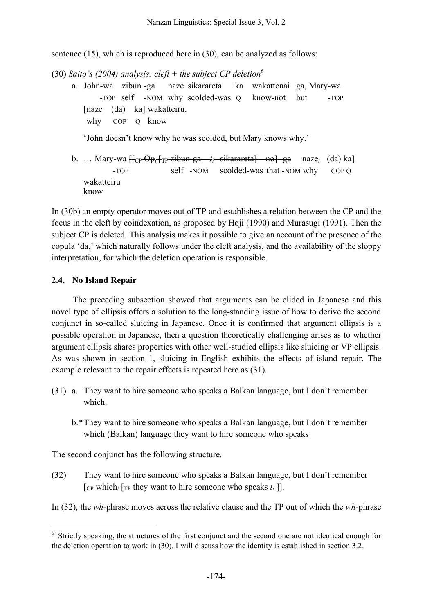sentence (15), which is reproduced here in (30), can be analyzed as follows:

- (30) *Saito's (2004) analysis: cleft + the subject CP deletion* 6 a. John-wa zibun -ga naze sikarareta ka wakattenai ga, Mary-wa -TOP self -NOM why scolded-was Q know-not but -TOP [naze (da) ka] wakatteiru. why COP Q know 'John doesn't know why he was scolded, but Mary knows why.'
	- b. … Mary-wa [[CP Op*<sup>i</sup>* [TP zibun-ga *ti* sikarareta] no] -ga naze*<sup>i</sup>* (da) ka] -TOP self -NOM scolded-was that -NOM why COP Q wakatteiru know

In (30b) an empty operator moves out of TP and establishes a relation between the CP and the focus in the cleft by coindexation, as proposed by Hoji (1990) and Murasugi (1991). Then the subject CP is deleted. This analysis makes it possible to give an account of the presence of the copula 'da,' which naturally follows under the cleft analysis, and the availability of the sloppy interpretation, for which the deletion operation is responsible.

#### **2.4. No Island Repair**

The preceding subsection showed that arguments can be elided in Japanese and this novel type of ellipsis offers a solution to the long-standing issue of how to derive the second conjunct in so-called sluicing in Japanese. Once it is confirmed that argument ellipsis is a possible operation in Japanese, then a question theoretically challenging arises as to whether argument ellipsis shares properties with other well-studied ellipsis like sluicing or VP ellipsis. As was shown in section 1, sluicing in English exhibits the effects of island repair. The example relevant to the repair effects is repeated here as (31).

- (31) a. They want to hire someone who speaks a Balkan language, but I don't remember which.
	- b.\*They want to hire someone who speaks a Balkan language, but I don't remember which (Balkan) language they want to hire someone who speaks

The second conjunct has the following structure.

(32) They want to hire someone who speaks a Balkan language, but I don't remember  $[CP]$  which<sub>*i*</sub>  $[TP]$  they want to hire someone who speaks  $t_i$ <sup>-</sup>].

In (32), the *wh-*phrase moves across the relative clause and the TP out of which the *wh-*phrase

<sup>&</sup>lt;sup>6</sup> Strictly speaking, the structures of the first conjunct and the second one are not identical enough for the deletion operation to work in (30). I will discuss how the identity is established in section 3.2.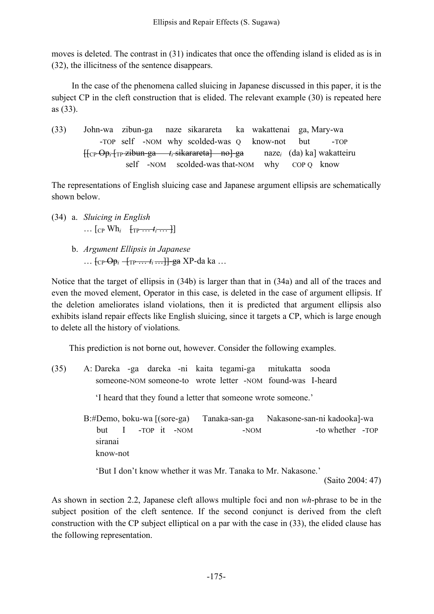moves is deleted. The contrast in (31) indicates that once the offending island is elided as is in (32), the illicitness of the sentence disappears.

In the case of the phenomena called sluicing in Japanese discussed in this paper, it is the subject CP in the cleft construction that is elided. The relevant example (30) is repeated here as (33).

(33) John-wa zibun-ga naze sikarareta ka wakattenai ga, Mary-wa -TOP self -NOM why scolded-was Q know-not but -TOP [[CP Op*<sup>i</sup>* [TP zibun-ga *ti* sikarareta] no]-ga naze*<sup>i</sup>* (da) ka] wakatteiru self -NOM scolded-was that-NOM why COP Q know

The representations of English sluicing case and Japanese argument ellipsis are schematically shown below.

- (34) a. *Sluicing in English*  $\ldots$  [CP Wh<sub>i</sub> [TP  $\ldots$  *t<sub>i</sub>*  $\ldots$  ]]
	- b. *Argument Ellipsis in Japanese* … f<sub>CP</sub> <del>Op</del><sub>i</sub> − <sub>TP</sub> … *t<sub>i</sub>* … **}** + <del>ga</del> XP - da ka …

Notice that the target of ellipsis in (34b) is larger than that in (34a) and all of the traces and even the moved element, Operator in this case, is deleted in the case of argument ellipsis. If the deletion ameliorates island violations, then it is predicted that argument ellipsis also exhibits island repair effects like English sluicing, since it targets a CP, which is large enough to delete all the history of violations.

This prediction is not borne out, however. Consider the following examples.

(35) A: Dareka -ga dareka -ni kaita tegami-ga mitukatta sooda someone-NOM someone-to wrote letter -NOM found-was I-heard 'I heard that they found a letter that someone wrote someone.' B:#Demo, boku-wa [(sore-ga) Tanaka-san-ga Nakasone-san-ni kadooka]-wa but I -TOP it -NOM -NOM -NOM -to whether -TOP siranai know-not 'But I don't know whether it was Mr. Tanaka to Mr. Nakasone.' (Saito 2004: 47)

As shown in section 2.2, Japanese cleft allows multiple foci and non *wh*-phrase to be in the subject position of the cleft sentence. If the second conjunct is derived from the cleft construction with the CP subject elliptical on a par with the case in (33), the elided clause has the following representation.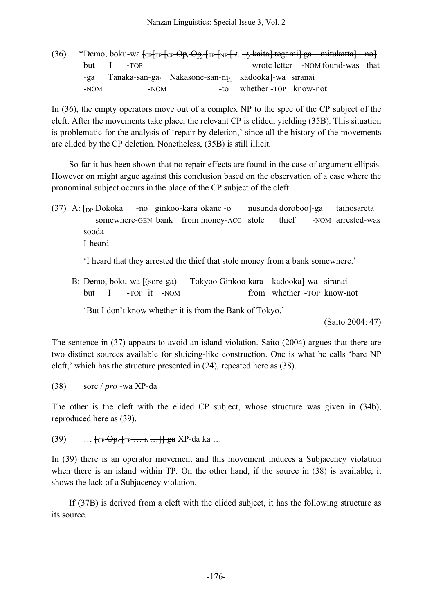| (36) |                 |                          |                                                                    |                          | *Demo, boku-wa $\left[\text{CP}\right]$ <sub>TP</sub> $\left[\text{CP}\right]$ $\Theta$ p <sub>i</sub> $\left[\text{TP}\right]$ <sub>TP</sub> $\left[\text{FP}\right]$ $\left[t_i - t_j \text{ kaita}\right]$ tegami] ga mitukatta] no |  |
|------|-----------------|--------------------------|--------------------------------------------------------------------|--------------------------|----------------------------------------------------------------------------------------------------------------------------------------------------------------------------------------------------------------------------------------|--|
|      |                 | $but \quad I \quad -TOP$ |                                                                    |                          | wrote letter -NOM found-was that                                                                                                                                                                                                       |  |
|      | - <del>ea</del> |                          | $Tanaka-san-gai$ Nakasone-san-ni <sub>i</sub> kadooka  -wa siranai |                          |                                                                                                                                                                                                                                        |  |
|      | $-NOM$          | $-NOM$                   |                                                                    | -to whether-TOP know-not |                                                                                                                                                                                                                                        |  |

In (36), the empty operators move out of a complex NP to the spec of the CP subject of the cleft. After the movements take place, the relevant CP is elided, yielding (35B). This situation is problematic for the analysis of 'repair by deletion,' since all the history of the movements are elided by the CP deletion. Nonetheless, (35B) is still illicit.

So far it has been shown that no repair effects are found in the case of argument ellipsis. However on might argue against this conclusion based on the observation of a case where the pronominal subject occurs in the place of the CP subject of the cleft.

(37) A: [DP Dokoka -no ginkoo-kara okane -o nusunda doroboo]-ga taihosareta somewhere-GEN bank from money-ACC stole thief -NOM arrested-was sooda I-heard

'I heard that they arrested the thief that stole money from a bank somewhere.'

B: Demo, boku-wa [(sore-ga) Tokyoo Ginkoo-kara kadooka]-wa siranai but I -TOP it -NOM from whether -TOP know-not

'But I don't know whether it is from the Bank of Tokyo.'

(Saito 2004: 47)

The sentence in (37) appears to avoid an island violation. Saito (2004) argues that there are two distinct sources available for sluicing-like construction. One is what he calls 'bare NP cleft,' which has the structure presented in (24), repeated here as (38).

(38) sore / *pro* -wa XP-da

The other is the cleft with the elided CP subject, whose structure was given in (34b), reproduced here as (39).

(39) … [CP Op*<sup>i</sup>* [TP … *ti*…]]-ga XP-da ka …

In (39) there is an operator movement and this movement induces a Subjacency violation when there is an island within TP. On the other hand, if the source in (38) is available, it shows the lack of a Subjacency violation.

If (37B) is derived from a cleft with the elided subject, it has the following structure as its source.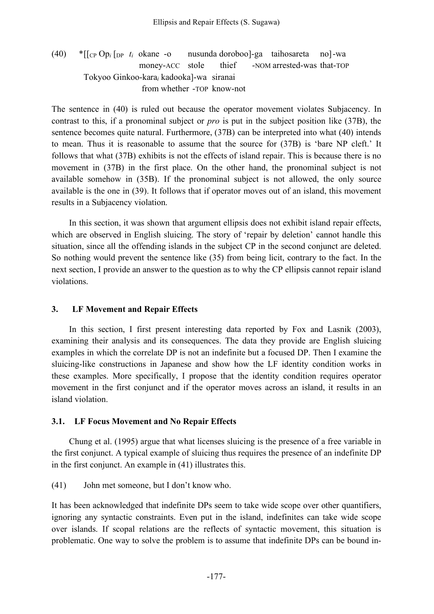# (40) \*[[CP Op*<sup>i</sup>* [DP *ti* okane -o nusunda doroboo]-ga taihosareta no]-wa money-ACC stole thief -NOM arrested-was that-TOP Tokyoo Ginkoo-kara*<sup>i</sup>* kadooka]-wa siranai from whether -TOP know-not

The sentence in (40) is ruled out because the operator movement violates Subjacency. In contrast to this, if a pronominal subject or *pro* is put in the subject position like (37B), the sentence becomes quite natural. Furthermore, (37B) can be interpreted into what (40) intends to mean. Thus it is reasonable to assume that the source for (37B) is 'bare NP cleft.' It follows that what (37B) exhibits is not the effects of island repair. This is because there is no movement in (37B) in the first place. On the other hand, the pronominal subject is not available somehow in (35B). If the pronominal subject is not allowed, the only source available is the one in (39). It follows that if operator moves out of an island, this movement results in a Subjacency violation.

In this section, it was shown that argument ellipsis does not exhibit island repair effects, which are observed in English sluicing. The story of 'repair by deletion' cannot handle this situation, since all the offending islands in the subject CP in the second conjunct are deleted. So nothing would prevent the sentence like (35) from being licit, contrary to the fact. In the next section, I provide an answer to the question as to why the CP ellipsis cannot repair island violations.

### **3. LF Movement and Repair Effects**

In this section, I first present interesting data reported by Fox and Lasnik (2003), examining their analysis and its consequences. The data they provide are English sluicing examples in which the correlate DP is not an indefinite but a focused DP. Then I examine the sluicing-like constructions in Japanese and show how the LF identity condition works in these examples. More specifically, I propose that the identity condition requires operator movement in the first conjunct and if the operator moves across an island, it results in an island violation.

#### **3.1. LF Focus Movement and No Repair Effects**

Chung et al. (1995) argue that what licenses sluicing is the presence of a free variable in the first conjunct. A typical example of sluicing thus requires the presence of an indefinite DP in the first conjunct. An example in (41) illustrates this.

(41) John met someone, but I don't know who.

It has been acknowledged that indefinite DPs seem to take wide scope over other quantifiers, ignoring any syntactic constraints. Even put in the island, indefinites can take wide scope over islands. If scopal relations are the reflects of syntactic movement, this situation is problematic. One way to solve the problem is to assume that indefinite DPs can be bound in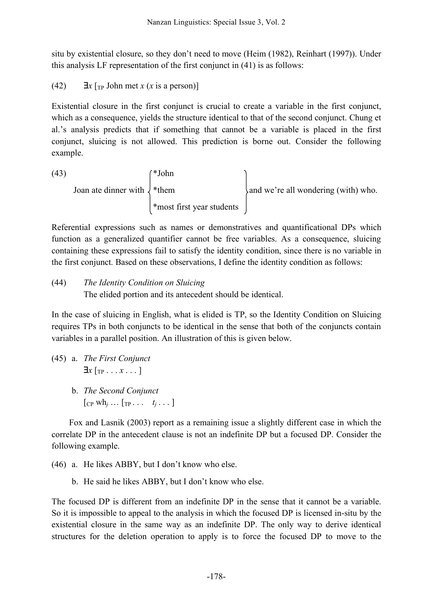situ by existential closure, so they don't need to move (Heim (1982), Reinhart (1997)). Under this analysis LF representation of the first conjunct in (41) is as follows:

(42)  $\exists x \upharpoonright_{\text{TP}} \text{John met } x \text{ (}x \text{ is a person)}$ 

Existential closure in the first conjunct is crucial to create a variable in the first conjunct, which as a consequence, yields the structure identical to that of the second conjunct. Chung et al.'s analysis predicts that if something that cannot be a variable is placed in the first conjunct, sluicing is not allowed. This prediction is borne out. Consider the following example.

 $(43)$   $(*John$ Joan ate dinner with  $\downarrow^*$ them  $\downarrow$  and we're all wondering (with) who. \*most first year students

Referential expressions such as names or demonstratives and quantificational DPs which function as a generalized quantifier cannot be free variables. As a consequence, sluicing containing these expressions fail to satisfy the identity condition, since there is no variable in the first conjunct. Based on these observations, I define the identity condition as follows:

(44) *The Identity Condition on Sluicing*

The elided portion and its antecedent should be identical.

In the case of sluicing in English, what is elided is TP, so the Identity Condition on Sluicing requires TPs in both conjuncts to be identical in the sense that both of the conjuncts contain variables in a parallel position. An illustration of this is given below.

(45) a. *The First Conjunct*  $\exists x$  [<sub>TP</sub> . . . *x* . . . ] b. *The Second Conjunct*  $[CP Wh_j ... [TP... t_j ...]$ 

Fox and Lasnik (2003) report as a remaining issue a slightly different case in which the correlate DP in the antecedent clause is not an indefinite DP but a focused DP. Consider the following example.

- (46) a. He likes ABBY, but I don't know who else.
	- b. He said he likes ABBY, but I don't know who else.

The focused DP is different from an indefinite DP in the sense that it cannot be a variable. So it is impossible to appeal to the analysis in which the focused DP is licensed in-situ by the existential closure in the same way as an indefinite DP. The only way to derive identical structures for the deletion operation to apply is to force the focused DP to move to the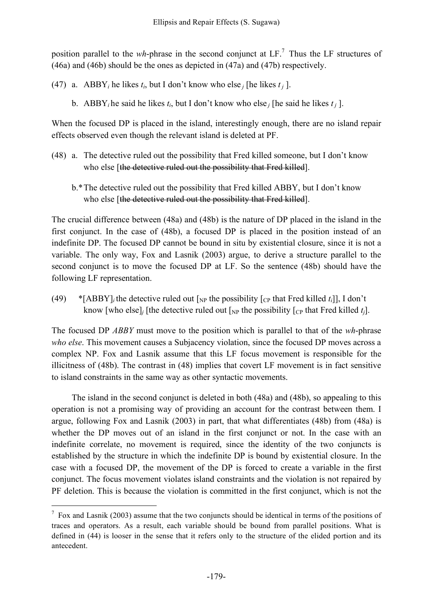position parallel to the *wh*-phrase in the second conjunct at LF. <sup>7</sup> Thus the LF structures of (46a) and (46b) should be the ones as depicted in (47a) and (47b) respectively.

- (47) a. ABBY<sub>*i*</sub> he likes  $t_i$ , but I don't know who else *j* [he likes  $t_j$ ].
	- b. ABBY<sub>*i*</sub> he said he likes  $t_i$ , but I don't know who else *j* [he said he likes  $t_j$ ].

When the focused DP is placed in the island, interestingly enough, there are no island repair effects observed even though the relevant island is deleted at PF.

- (48) a. The detective ruled out the possibility that Fred killed someone, but I don't know who else [the detective ruled out the possibility that Fred killed].
	- b.\*The detective ruled out the possibility that Fred killed ABBY, but I don't know who else [the detective ruled out the possibility that Fred killed].

The crucial difference between (48a) and (48b) is the nature of DP placed in the island in the first conjunct. In the case of (48b), a focused DP is placed in the position instead of an indefinite DP. The focused DP cannot be bound in situ by existential closure, since it is not a variable. The only way, Fox and Lasnik (2003) argue, to derive a structure parallel to the second conjunct is to move the focused DP at LF. So the sentence (48b) should have the following LF representation.

(49) \* [ABBY]<sub>*i*</sub> the detective ruled out  $\lceil_{NP}$  the possibility  $\lceil_{CP}$  that Fred killed *t<sub>i</sub>*]], I don't know [who else]<sub>*j*</sub> [the detective ruled out  $\lceil_{NP}$  the possibility  $\lceil_{CP}$  that Fred killed *t<sub>i</sub>*].

The focused DP *ABBY* must move to the position which is parallel to that of the *wh*-phrase *who else*. This movement causes a Subjacency violation, since the focused DP moves across a complex NP. Fox and Lasnik assume that this LF focus movement is responsible for the illicitness of (48b). The contrast in (48) implies that covert LF movement is in fact sensitive to island constraints in the same way as other syntactic movements.

The island in the second conjunct is deleted in both (48a) and (48b), so appealing to this operation is not a promising way of providing an account for the contrast between them. I argue, following Fox and Lasnik (2003) in part, that what differentiates (48b) from (48a) is whether the DP moves out of an island in the first conjunct or not. In the case with an indefinite correlate, no movement is required, since the identity of the two conjuncts is established by the structure in which the indefinite DP is bound by existential closure. In the case with a focused DP, the movement of the DP is forced to create a variable in the first conjunct. The focus movement violates island constraints and the violation is not repaired by PF deletion. This is because the violation is committed in the first conjunct, which is not the

 $7$  Fox and Lasnik (2003) assume that the two conjuncts should be identical in terms of the positions of traces and operators. As a result, each variable should be bound from parallel positions. What is defined in (44) is looser in the sense that it refers only to the structure of the elided portion and its antecedent.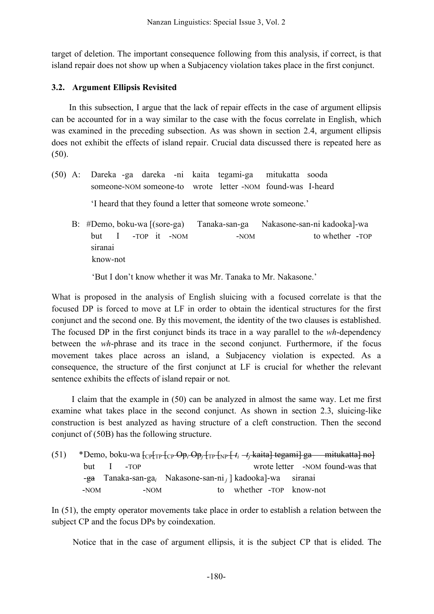target of deletion. The important consequence following from this analysis, if correct, is that island repair does not show up when a Subjacency violation takes place in the first conjunct.

### **3.2. Argument Ellipsis Revisited**

In this subsection, I argue that the lack of repair effects in the case of argument ellipsis can be accounted for in a way similar to the case with the focus correlate in English, which was examined in the preceding subsection. As was shown in section 2.4, argument ellipsis does not exhibit the effects of island repair. Crucial data discussed there is repeated here as (50).

(50) A: Dareka -ga dareka -ni kaita tegami-ga mitukatta sooda someone-NOM someone-to wrote letter -NOM found-was I-heard

'I heard that they found a letter that someone wrote someone.'

B: #Demo, boku-wa [(sore-ga) Tanaka-san-ga Nakasone-san-ni kadooka]-wa but I -TOP it -NOM -NOM to whether -TOP siranai know-not

'But I don't know whether it was Mr. Tanaka to Mr. Nakasone.'

What is proposed in the analysis of English sluicing with a focused correlate is that the focused DP is forced to move at LF in order to obtain the identical structures for the first conjunct and the second one. By this movement, the identity of the two clauses is established. The focused DP in the first conjunct binds its trace in a way parallel to the *wh*-dependency between the *wh*-phrase and its trace in the second conjunct. Furthermore, if the focus movement takes place across an island, a Subjacency violation is expected. As a consequence, the structure of the first conjunct at LF is crucial for whether the relevant sentence exhibits the effects of island repair or not.

I claim that the example in (50) can be analyzed in almost the same way. Let me first examine what takes place in the second conjunct. As shown in section 2.3, sluicing-like construction is best analyzed as having structure of a cleft construction. Then the second conjunct of (50B) has the following structure.

| (51) |        |                          |      | *Demo, boku-wa $\left[\text{CP} \left( \text{TP} \left( \text{CP} \right) \right) - \text{TP} \left( \text{TP} \left( \text{TP} \right) \right) + t_i - t_i + t_i + t_i + t_i \right]$ tegami] ga mitukatta] no |                          |  |                                  |
|------|--------|--------------------------|------|-----------------------------------------------------------------------------------------------------------------------------------------------------------------------------------------------------------------|--------------------------|--|----------------------------------|
|      |        | $but \quad I \quad -TOP$ |      |                                                                                                                                                                                                                 |                          |  | wrote letter -NOM found-was that |
|      |        |                          |      | $-\frac{1}{2}$ Tanaka-san-ga <sub>i</sub> Nakasone-san-ni J kadooka]-wa siranai                                                                                                                                 |                          |  |                                  |
|      | $-NOM$ |                          | -NOM |                                                                                                                                                                                                                 | to whether -TOP know-not |  |                                  |

In (51), the empty operator movements take place in order to establish a relation between the subject CP and the focus DPs by coindexation.

Notice that in the case of argument ellipsis, it is the subject CP that is elided. The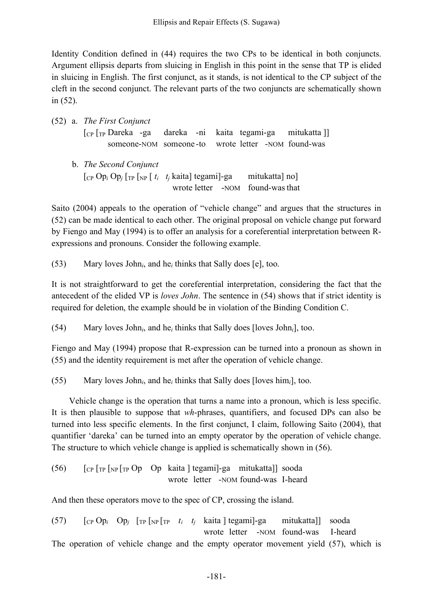Identity Condition defined in (44) requires the two CPs to be identical in both conjuncts. Argument ellipsis departs from sluicing in English in this point in the sense that TP is elided in sluicing in English. The first conjunct, as it stands, is not identical to the CP subject of the cleft in the second conjunct. The relevant parts of the two conjuncts are schematically shown in (52).

|  | $(52)$ a. The First Conjunct                                                                                 |  |                                  |                |              |
|--|--------------------------------------------------------------------------------------------------------------|--|----------------------------------|----------------|--------------|
|  | $\lceil_{CP} \rceil_{TP}$ Dareka -ga dareka -ni kaita tegami-ga                                              |  |                                  |                | mitukatta ]] |
|  | someone-NOM someone-to wrote letter -NOM found-was                                                           |  |                                  |                |              |
|  | b. <i>The Second Conjunct</i><br>[CP Op <sub>i</sub> Op <sub>j</sub> [TP [NP $[t_i \ t_j]$ kaita] tegami]-ga |  |                                  | mitukatta] no] |              |
|  |                                                                                                              |  | wrote letter -NOM found-was that |                |              |

Saito (2004) appeals to the operation of "vehicle change" and argues that the structures in (52) can be made identical to each other. The original proposal on vehicle change put forward by Fiengo and May (1994) is to offer an analysis for a coreferential interpretation between Rexpressions and pronouns. Consider the following example.

(53) Mary loves John*i*, and he*<sup>i</sup>* thinks that Sally does [e], too.

It is not straightforward to get the coreferential interpretation, considering the fact that the antecedent of the elided VP is *loves John*. The sentence in (54) shows that if strict identity is required for deletion, the example should be in violation of the Binding Condition C.

(54) Mary loves John*i*, and he*<sup>i</sup>* thinks that Sally does [loves John*i*], too.

Fiengo and May (1994) propose that R-expression can be turned into a pronoun as shown in (55) and the identity requirement is met after the operation of vehicle change.

(55) Mary loves John*i*, and he*<sup>i</sup>* thinks that Sally does [loves him*i*], too.

Vehicle change is the operation that turns a name into a pronoun, which is less specific. It is then plausible to suppose that *wh*-phrases, quantifiers, and focused DPs can also be turned into less specific elements. In the first conjunct, I claim, following Saito (2004), that quantifier 'dareka' can be turned into an empty operator by the operation of vehicle change. The structure to which vehicle change is applied is schematically shown in (56).

(56)  $\int_{\text{CP}} \int_{\text{TP}} \int_{\text{NP}} \int_{\text{TP}} \text{Op} \quad \text{Op} \quad \text{kaita} \mid \text{tegamil-ga} \quad \text{mitukatta} \mid \text{sooda}$ wrote letter -NOM found-was I-heard

And then these operators move to the spec of CP, crossing the island.

(57) [CP Op*<sup>i</sup>* Op*<sup>j</sup>* [TP [NP [TP *ti tj* kaita ] tegami]-ga mitukatta]] sooda wrote letter -NOM found-was I-heard The operation of vehicle change and the empty operator movement yield (57), which is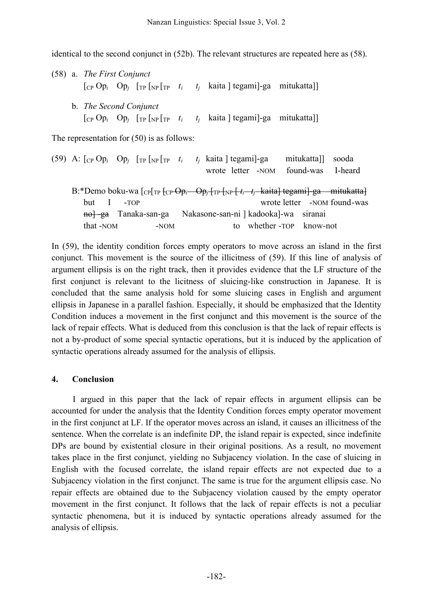identical to the second conjunct in (52b). The relevant structures are repeated here as (58).

(58) a. *The First Conjunct*  $\begin{bmatrix} \n\text{Cp Op}_i & \text{Op}_j & \n\text{Tr}\n\end{bmatrix}$   $\begin{bmatrix} \n\text{TP} & \text{Tr} \n\end{bmatrix}$   $\begin{bmatrix} \n\text{TP} & t_i & t_j \n\end{bmatrix}$  kaita | tegami|-ga mitukatta|| b. *The Second Conjunct*  $\begin{bmatrix} \n\text{Cp Op}_i & \text{Op}_j & \n\text{Tr}\n\end{bmatrix}$   $\begin{bmatrix} \n\text{Tr}\n\end{bmatrix}$   $\begin{bmatrix} \text{Tr}\n\end{bmatrix}$   $\begin{bmatrix} t_i & t_j \end{bmatrix}$  kaita  $\begin{bmatrix} \text{tegam} \\ \text{tegam} \end{bmatrix}$   $\begin{bmatrix} \text{se }\n\end{bmatrix}$ 

The representation for (50) is as follows:

| (59) A: $[CP OP_i OP_j [TP [NP T_P t_i t_j kaita] tegami]$ -ga                                                                                                                                                                                                              |        |        |                                                            |                         |  | mitukatta]] sooda           |
|-----------------------------------------------------------------------------------------------------------------------------------------------------------------------------------------------------------------------------------------------------------------------------|--------|--------|------------------------------------------------------------|-------------------------|--|-----------------------------|
|                                                                                                                                                                                                                                                                             |        |        | wrote letter -NOM found-was                                |                         |  | I-heard                     |
| B:*Demo boku-wa $[_{CP}[_{TP}$ $_{CP}$ $_{OP}$ ; $_{OP}$ $_{TP}$ $_{NP}$ $_{f,r}$ $_{f,r}$ $_{f,r}$ $_{h}$ $_{h}$ $_{h}$ $_{h}$ $_{h}$ $_{h}$ $_{h}$ $_{h}$ $_{h}$ $_{h}$ $_{h}$ $_{h}$ $_{h}$ $_{h}$ $_{h}$ $_{h}$ $_{h}$ $_{h}$ $_{h}$ $_{h}$ $_{h}$ $_{h}$ $_{h}$ $_{h}$ |        |        |                                                            |                         |  |                             |
| but I                                                                                                                                                                                                                                                                       | $-TOP$ |        |                                                            |                         |  | wrote letter -NOM found-was |
|                                                                                                                                                                                                                                                                             |        |        | nol ga Tanaka-san-ga Nakasone-san-ni   kadookal-wa siranai |                         |  |                             |
| that -NOM                                                                                                                                                                                                                                                                   |        | $-NOM$ |                                                            | to whether-TOP know-not |  |                             |

In (59), the identity condition forces empty operators to move across an island in the first conjunct. This movement is the source of the illicitness of (59). If this line of analysis of argument ellipsis is on the right track, then it provides evidence that the LF structure of the first conjunct is relevant to the licitness of sluicing-like construction in Japanese. It is concluded that the same analysis hold for some sluicing cases in English and argument ellipsis in Japanese in a parallel fashion. Especially, it should be emphasized that the Identity Condition induces a movement in the first conjunct and this movement is the source of the lack of repair effects. What is deduced from this conclusion is that the lack of repair effects is not a by-product of some special syntactic operations, but it is induced by the application of syntactic operations already assumed for the analysis of ellipsis.

#### **4. Conclusion**

I argued in this paper that the lack of repair effects in argument ellipsis can be accounted for under the analysis that the Identity Condition forces empty operator movement in the first conjunct at LF. If the operator moves across an island, it causes an illicitness of the sentence. When the correlate is an indefinite DP, the island repair is expected, since indefinite DPs are bound by existential closure in their original positions. As a result, no movement takes place in the first conjunct, yielding no Subjacency violation. In the case of sluicing in English with the focused correlate, the island repair effects are not expected due to a Subjacency violation in the first conjunct. The same is true for the argument ellipsis case. No repair effects are obtained due to the Subjacency violation caused by the empty operator movement in the first conjunct. It follows that the lack of repair effects is not a peculiar syntactic phenomena, but it is induced by syntactic operations already assumed for the analysis of ellipsis.